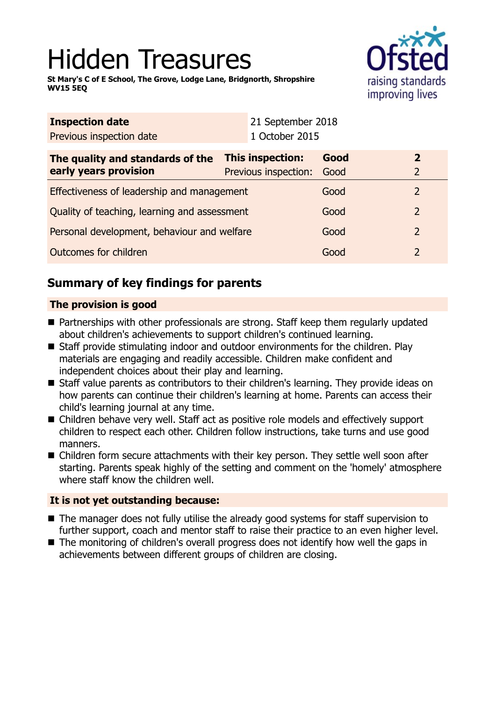# Hidden Treasures

**St Mary's C of E School, The Grove, Lodge Lane, Bridgnorth, Shropshire WV15 5EQ**



| <b>Inspection date</b>                                    |  | 21 September 2018                        |                |
|-----------------------------------------------------------|--|------------------------------------------|----------------|
| Previous inspection date                                  |  |                                          |                |
| The quality and standards of the<br>early years provision |  | Good                                     | $\overline{2}$ |
|                                                           |  | Good                                     | $\overline{2}$ |
| Effectiveness of leadership and management                |  | Good                                     | $\overline{2}$ |
| Quality of teaching, learning and assessment              |  | Good                                     | $\overline{2}$ |
| Personal development, behaviour and welfare               |  | Good                                     | $\overline{2}$ |
| Outcomes for children                                     |  | Good                                     | $\overline{2}$ |
|                                                           |  | This inspection:<br>Previous inspection: | 1 October 2015 |

# **Summary of key findings for parents**

## **The provision is good**

- Partnerships with other professionals are strong. Staff keep them regularly updated about children's achievements to support children's continued learning.
- Staff provide stimulating indoor and outdoor environments for the children. Play materials are engaging and readily accessible. Children make confident and independent choices about their play and learning.
- Staff value parents as contributors to their children's learning. They provide ideas on how parents can continue their children's learning at home. Parents can access their child's learning journal at any time.
- Children behave very well. Staff act as positive role models and effectively support children to respect each other. Children follow instructions, take turns and use good manners.
- Children form secure attachments with their key person. They settle well soon after starting. Parents speak highly of the setting and comment on the 'homely' atmosphere where staff know the children well.

## **It is not yet outstanding because:**

- $\blacksquare$  The manager does not fully utilise the already good systems for staff supervision to further support, coach and mentor staff to raise their practice to an even higher level.
- $\blacksquare$  The monitoring of children's overall progress does not identify how well the gaps in achievements between different groups of children are closing.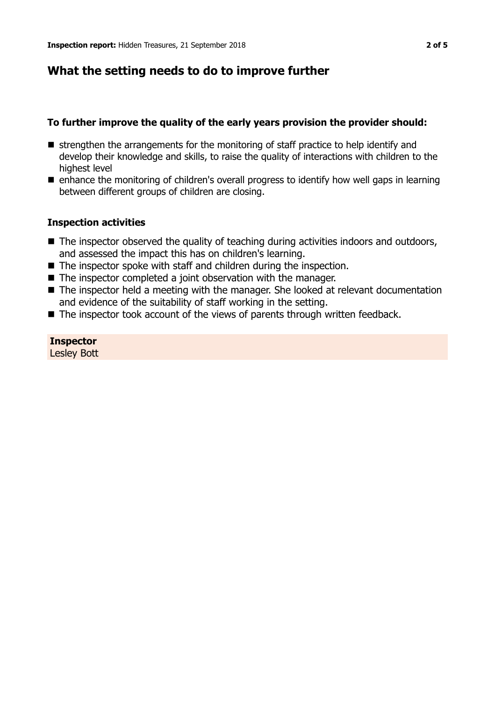## **What the setting needs to do to improve further**

## **To further improve the quality of the early years provision the provider should:**

- $\blacksquare$  strengthen the arrangements for the monitoring of staff practice to help identify and develop their knowledge and skills, to raise the quality of interactions with children to the highest level
- $\blacksquare$  enhance the monitoring of children's overall progress to identify how well gaps in learning between different groups of children are closing.

## **Inspection activities**

- The inspector observed the quality of teaching during activities indoors and outdoors, and assessed the impact this has on children's learning.
- $\blacksquare$  The inspector spoke with staff and children during the inspection.
- $\blacksquare$  The inspector completed a joint observation with the manager.
- $\blacksquare$  The inspector held a meeting with the manager. She looked at relevant documentation and evidence of the suitability of staff working in the setting.
- $\blacksquare$  The inspector took account of the views of parents through written feedback.

**Inspector** Lesley Bott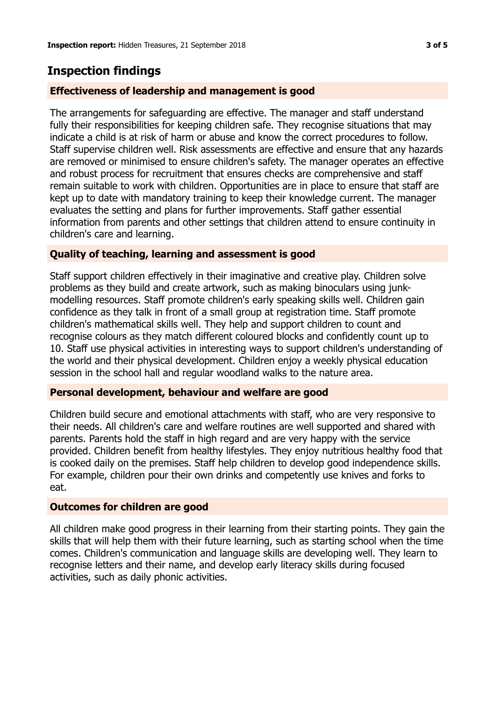# **Inspection findings**

## **Effectiveness of leadership and management is good**

The arrangements for safeguarding are effective. The manager and staff understand fully their responsibilities for keeping children safe. They recognise situations that may indicate a child is at risk of harm or abuse and know the correct procedures to follow. Staff supervise children well. Risk assessments are effective and ensure that any hazards are removed or minimised to ensure children's safety. The manager operates an effective and robust process for recruitment that ensures checks are comprehensive and staff remain suitable to work with children. Opportunities are in place to ensure that staff are kept up to date with mandatory training to keep their knowledge current. The manager evaluates the setting and plans for further improvements. Staff gather essential information from parents and other settings that children attend to ensure continuity in children's care and learning.

## **Quality of teaching, learning and assessment is good**

Staff support children effectively in their imaginative and creative play. Children solve problems as they build and create artwork, such as making binoculars using junkmodelling resources. Staff promote children's early speaking skills well. Children gain confidence as they talk in front of a small group at registration time. Staff promote children's mathematical skills well. They help and support children to count and recognise colours as they match different coloured blocks and confidently count up to 10. Staff use physical activities in interesting ways to support children's understanding of the world and their physical development. Children enjoy a weekly physical education session in the school hall and regular woodland walks to the nature area.

## **Personal development, behaviour and welfare are good**

Children build secure and emotional attachments with staff, who are very responsive to their needs. All children's care and welfare routines are well supported and shared with parents. Parents hold the staff in high regard and are very happy with the service provided. Children benefit from healthy lifestyles. They enjoy nutritious healthy food that is cooked daily on the premises. Staff help children to develop good independence skills. For example, children pour their own drinks and competently use knives and forks to eat.

## **Outcomes for children are good**

All children make good progress in their learning from their starting points. They gain the skills that will help them with their future learning, such as starting school when the time comes. Children's communication and language skills are developing well. They learn to recognise letters and their name, and develop early literacy skills during focused activities, such as daily phonic activities.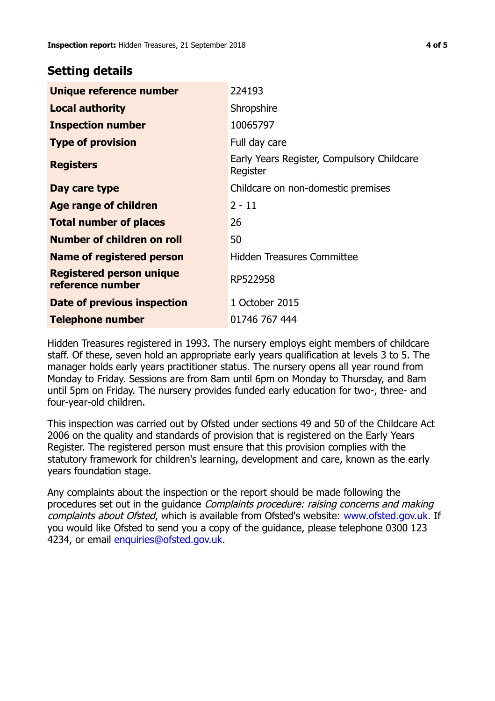## **Setting details**

| Unique reference number                             | 224193                                                 |
|-----------------------------------------------------|--------------------------------------------------------|
| <b>Local authority</b>                              | Shropshire                                             |
| <b>Inspection number</b>                            | 10065797                                               |
| <b>Type of provision</b>                            | Full day care                                          |
| <b>Registers</b>                                    | Early Years Register, Compulsory Childcare<br>Register |
| Day care type                                       | Childcare on non-domestic premises                     |
| Age range of children                               | $2 - 11$                                               |
| <b>Total number of places</b>                       | 26                                                     |
| Number of children on roll                          | 50                                                     |
| Name of registered person                           | <b>Hidden Treasures Committee</b>                      |
| <b>Registered person unique</b><br>reference number | RP522958                                               |
| <b>Date of previous inspection</b>                  | 1 October 2015                                         |
| <b>Telephone number</b>                             | 01746 767 444                                          |

Hidden Treasures registered in 1993. The nursery employs eight members of childcare staff. Of these, seven hold an appropriate early years qualification at levels 3 to 5. The manager holds early years practitioner status. The nursery opens all year round from Monday to Friday. Sessions are from 8am until 6pm on Monday to Thursday, and 8am until 5pm on Friday. The nursery provides funded early education for two-, three- and four-year-old children.

This inspection was carried out by Ofsted under sections 49 and 50 of the Childcare Act 2006 on the quality and standards of provision that is registered on the Early Years Register. The registered person must ensure that this provision complies with the statutory framework for children's learning, development and care, known as the early years foundation stage.

Any complaints about the inspection or the report should be made following the procedures set out in the guidance Complaints procedure: raising concerns and making complaints about Ofsted, which is available from Ofsted's website: www.ofsted.gov.uk. If you would like Ofsted to send you a copy of the guidance, please telephone 0300 123 4234, or email [enquiries@ofsted.gov.uk.](mailto:enquiries@ofsted.gov.uk)